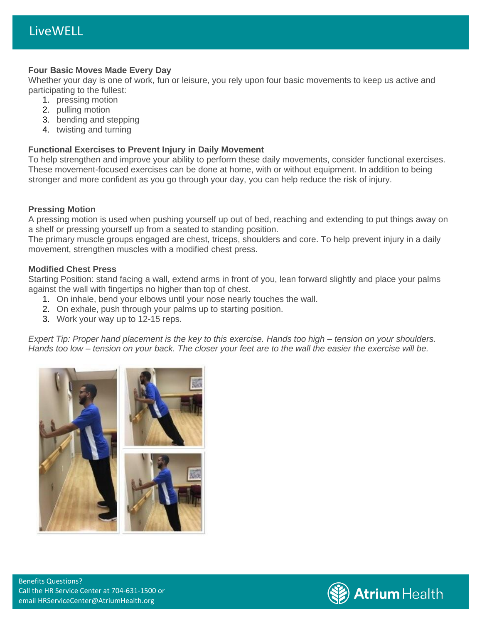### **Four Basic Moves Made Every Day**

Whether your day is one of work, fun or leisure, you rely upon four basic movements to keep us active and participating to the fullest:

- 1. pressing motion
- 2. pulling motion
- 3. bending and stepping
- 4. twisting and turning

## **Functional Exercises to Prevent Injury in Daily Movement**

To help strengthen and improve your ability to perform these daily movements, consider functional exercises. These movement-focused exercises can be done at home, with or without equipment. In addition to being stronger and more confident as you go through your day, you can help reduce the risk of injury.

## **Pressing Motion**

A pressing motion is used when pushing yourself up out of bed, reaching and extending to put things away on a shelf or pressing yourself up from a seated to standing position.

The primary muscle groups engaged are chest, triceps, shoulders and core. To help prevent injury in a daily movement, strengthen muscles with a modified chest press.

## **Modified Chest Press**

Starting Position: stand facing a wall, extend arms in front of you, lean forward slightly and place your palms against the wall with fingertips no higher than top of chest.

- 1. On inhale, bend your elbows until your nose nearly touches the wall.
- 2. On exhale, push through your palms up to starting position.
- 3. Work your way up to 12-15 reps.

*Expert Tip: Proper hand placement is the key to this exercise. Hands too high – tension on your shoulders. Hands too low – tension on your back. The closer your feet are to the wall the easier the exercise will be.*



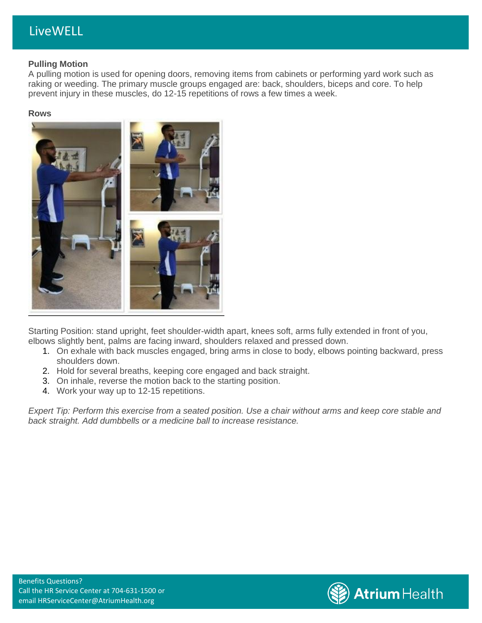# LiveWELL

### **Pulling Motion**

A pulling motion is used for opening doors, removing items from cabinets or performing yard work such as raking or weeding. The primary muscle groups engaged are: back, shoulders, biceps and core. To help prevent injury in these muscles, do 12-15 repetitions of rows a few times a week.

#### **Rows**



Starting Position: stand upright, feet shoulder-width apart, knees soft, arms fully extended in front of you, elbows slightly bent, palms are facing inward, shoulders relaxed and pressed down.

- 1. On exhale with back muscles engaged, bring arms in close to body, elbows pointing backward, press shoulders down.
- 2. Hold for several breaths, keeping core engaged and back straight.
- 3. On inhale, reverse the motion back to the starting position.
- 4. Work your way up to 12-15 repetitions.

*Expert Tip: Perform this exercise from a seated position. Use a chair without arms and keep core stable and back straight. Add dumbbells or a medicine ball to increase resistance.*

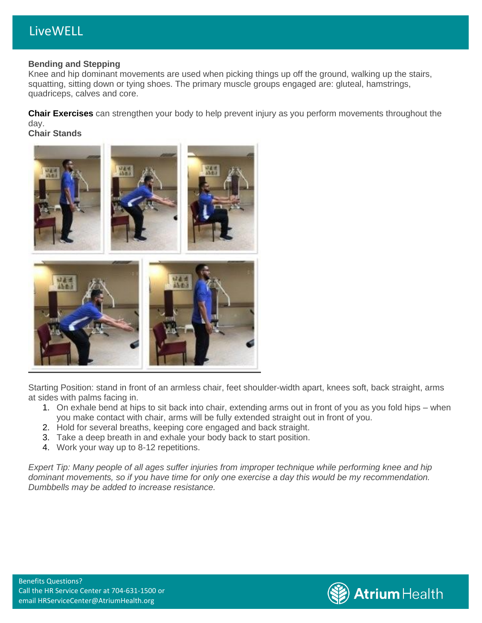# LiveWELL

### **Bending and Stepping**

Knee and hip dominant movements are used when picking things up off the ground, walking up the stairs, squatting, sitting down or tying shoes. The primary muscle groups engaged are: gluteal, hamstrings, quadriceps, calves and core.

**Chair Exercises** can strengthen your body to help prevent injury as you perform movements throughout the day.

**Chair Stands**



Starting Position: stand in front of an armless chair, feet shoulder-width apart, knees soft, back straight, arms at sides with palms facing in.

- 1. On exhale bend at hips to sit back into chair, extending arms out in front of you as you fold hips when you make contact with chair, arms will be fully extended straight out in front of you.
- 2. Hold for several breaths, keeping core engaged and back straight.
- 3. Take a deep breath in and exhale your body back to start position.
- 4. Work your way up to 8-12 repetitions.

*Expert Tip: Many people of all ages suffer injuries from improper technique while performing knee and hip dominant movements, so if you have time for only one exercise a day this would be my recommendation. Dumbbells may be added to increase resistance.*